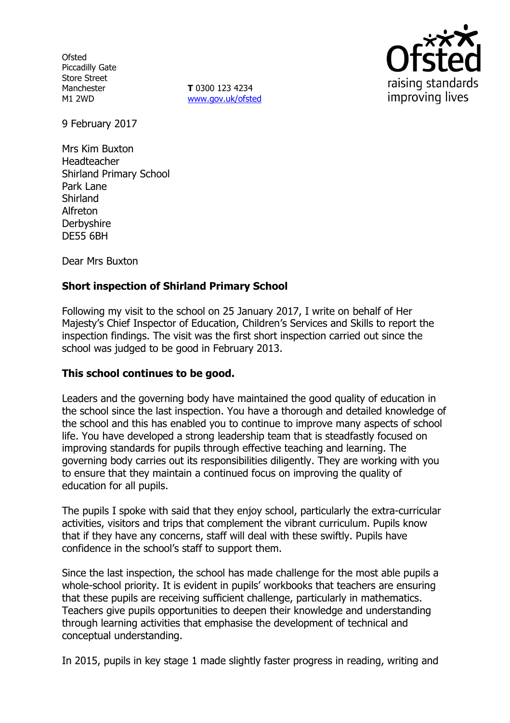**Ofsted** Piccadilly Gate Store Street Manchester M1 2WD

**T** 0300 123 4234 www.gov.uk/ofsted



9 February 2017

Mrs Kim Buxton Headteacher Shirland Primary School Park Lane Shirland Alfreton **Derbyshire** DE55 6BH

Dear Mrs Buxton

# **Short inspection of Shirland Primary School**

Following my visit to the school on 25 January 2017, I write on behalf of Her Majesty's Chief Inspector of Education, Children's Services and Skills to report the inspection findings. The visit was the first short inspection carried out since the school was judged to be good in February 2013.

## **This school continues to be good.**

Leaders and the governing body have maintained the good quality of education in the school since the last inspection. You have a thorough and detailed knowledge of the school and this has enabled you to continue to improve many aspects of school life. You have developed a strong leadership team that is steadfastly focused on improving standards for pupils through effective teaching and learning. The governing body carries out its responsibilities diligently. They are working with you to ensure that they maintain a continued focus on improving the quality of education for all pupils.

The pupils I spoke with said that they enjoy school, particularly the extra-curricular activities, visitors and trips that complement the vibrant curriculum. Pupils know that if they have any concerns, staff will deal with these swiftly. Pupils have confidence in the school's staff to support them.

Since the last inspection, the school has made challenge for the most able pupils a whole-school priority. It is evident in pupils' workbooks that teachers are ensuring that these pupils are receiving sufficient challenge, particularly in mathematics. Teachers give pupils opportunities to deepen their knowledge and understanding through learning activities that emphasise the development of technical and conceptual understanding.

In 2015, pupils in key stage 1 made slightly faster progress in reading, writing and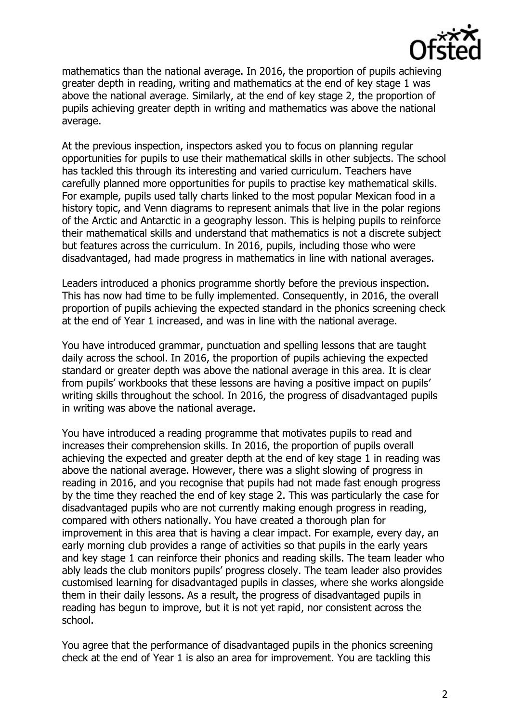

mathematics than the national average. In 2016, the proportion of pupils achieving greater depth in reading, writing and mathematics at the end of key stage 1 was above the national average. Similarly, at the end of key stage 2, the proportion of pupils achieving greater depth in writing and mathematics was above the national average.

At the previous inspection, inspectors asked you to focus on planning regular opportunities for pupils to use their mathematical skills in other subjects. The school has tackled this through its interesting and varied curriculum. Teachers have carefully planned more opportunities for pupils to practise key mathematical skills. For example, pupils used tally charts linked to the most popular Mexican food in a history topic, and Venn diagrams to represent animals that live in the polar regions of the Arctic and Antarctic in a geography lesson. This is helping pupils to reinforce their mathematical skills and understand that mathematics is not a discrete subject but features across the curriculum. In 2016, pupils, including those who were disadvantaged, had made progress in mathematics in line with national averages.

Leaders introduced a phonics programme shortly before the previous inspection. This has now had time to be fully implemented. Consequently, in 2016, the overall proportion of pupils achieving the expected standard in the phonics screening check at the end of Year 1 increased, and was in line with the national average.

You have introduced grammar, punctuation and spelling lessons that are taught daily across the school. In 2016, the proportion of pupils achieving the expected standard or greater depth was above the national average in this area. It is clear from pupils' workbooks that these lessons are having a positive impact on pupils' writing skills throughout the school. In 2016, the progress of disadvantaged pupils in writing was above the national average.

You have introduced a reading programme that motivates pupils to read and increases their comprehension skills. In 2016, the proportion of pupils overall achieving the expected and greater depth at the end of key stage 1 in reading was above the national average. However, there was a slight slowing of progress in reading in 2016, and you recognise that pupils had not made fast enough progress by the time they reached the end of key stage 2. This was particularly the case for disadvantaged pupils who are not currently making enough progress in reading, compared with others nationally. You have created a thorough plan for improvement in this area that is having a clear impact. For example, every day, an early morning club provides a range of activities so that pupils in the early years and key stage 1 can reinforce their phonics and reading skills. The team leader who ably leads the club monitors pupils' progress closely. The team leader also provides customised learning for disadvantaged pupils in classes, where she works alongside them in their daily lessons. As a result, the progress of disadvantaged pupils in reading has begun to improve, but it is not yet rapid, nor consistent across the school.

You agree that the performance of disadvantaged pupils in the phonics screening check at the end of Year 1 is also an area for improvement. You are tackling this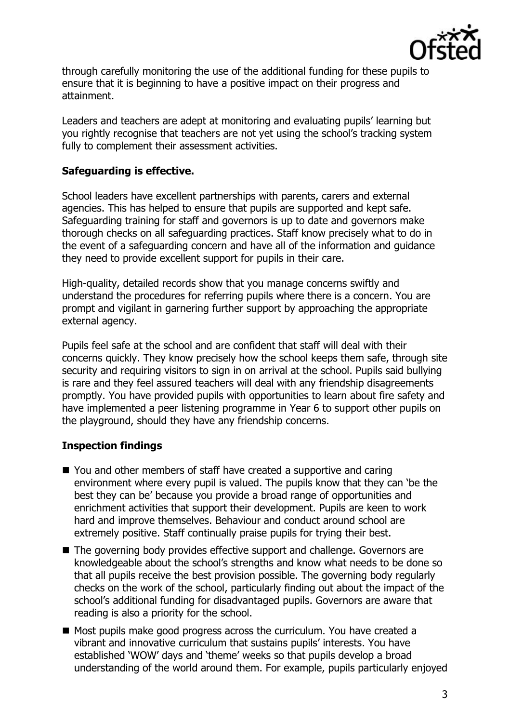

through carefully monitoring the use of the additional funding for these pupils to ensure that it is beginning to have a positive impact on their progress and attainment.

Leaders and teachers are adept at monitoring and evaluating pupils' learning but you rightly recognise that teachers are not yet using the school's tracking system fully to complement their assessment activities.

# **Safeguarding is effective.**

School leaders have excellent partnerships with parents, carers and external agencies. This has helped to ensure that pupils are supported and kept safe. Safeguarding training for staff and governors is up to date and governors make thorough checks on all safeguarding practices. Staff know precisely what to do in the event of a safeguarding concern and have all of the information and guidance they need to provide excellent support for pupils in their care.

High-quality, detailed records show that you manage concerns swiftly and understand the procedures for referring pupils where there is a concern. You are prompt and vigilant in garnering further support by approaching the appropriate external agency.

Pupils feel safe at the school and are confident that staff will deal with their concerns quickly. They know precisely how the school keeps them safe, through site security and requiring visitors to sign in on arrival at the school. Pupils said bullying is rare and they feel assured teachers will deal with any friendship disagreements promptly. You have provided pupils with opportunities to learn about fire safety and have implemented a peer listening programme in Year 6 to support other pupils on the playground, should they have any friendship concerns.

## **Inspection findings**

- You and other members of staff have created a supportive and caring environment where every pupil is valued. The pupils know that they can 'be the best they can be' because you provide a broad range of opportunities and enrichment activities that support their development. Pupils are keen to work hard and improve themselves. Behaviour and conduct around school are extremely positive. Staff continually praise pupils for trying their best.
- The governing body provides effective support and challenge. Governors are knowledgeable about the school's strengths and know what needs to be done so that all pupils receive the best provision possible. The governing body regularly checks on the work of the school, particularly finding out about the impact of the school's additional funding for disadvantaged pupils. Governors are aware that reading is also a priority for the school.
- Most pupils make good progress across the curriculum. You have created a vibrant and innovative curriculum that sustains pupils' interests. You have established 'WOW' days and 'theme' weeks so that pupils develop a broad understanding of the world around them. For example, pupils particularly enjoyed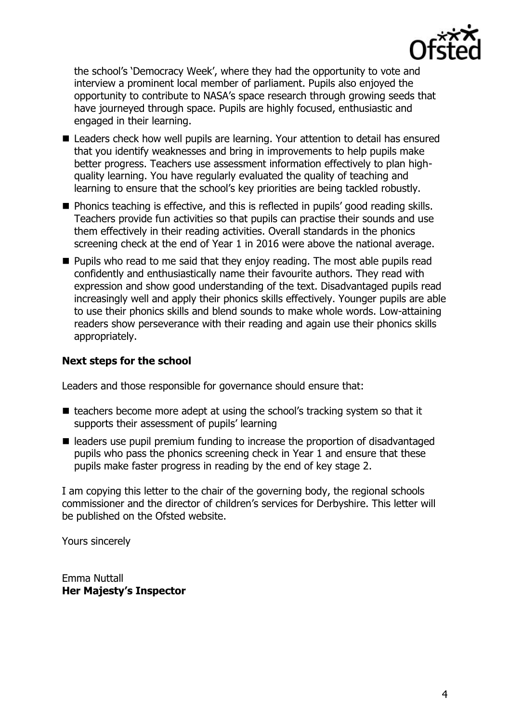

the school's 'Democracy Week', where they had the opportunity to vote and interview a prominent local member of parliament. Pupils also enjoyed the opportunity to contribute to NASA's space research through growing seeds that have journeyed through space. Pupils are highly focused, enthusiastic and engaged in their learning.

- Leaders check how well pupils are learning. Your attention to detail has ensured that you identify weaknesses and bring in improvements to help pupils make better progress. Teachers use assessment information effectively to plan highquality learning. You have regularly evaluated the quality of teaching and learning to ensure that the school's key priorities are being tackled robustly.
- **Phonics teaching is effective, and this is reflected in pupils' good reading skills.** Teachers provide fun activities so that pupils can practise their sounds and use them effectively in their reading activities. Overall standards in the phonics screening check at the end of Year 1 in 2016 were above the national average.
- **Pupils who read to me said that they enjoy reading. The most able pupils read** confidently and enthusiastically name their favourite authors. They read with expression and show good understanding of the text. Disadvantaged pupils read increasingly well and apply their phonics skills effectively. Younger pupils are able to use their phonics skills and blend sounds to make whole words. Low-attaining readers show perseverance with their reading and again use their phonics skills appropriately.

# **Next steps for the school**

Leaders and those responsible for governance should ensure that:

- $\blacksquare$  teachers become more adept at using the school's tracking system so that it supports their assessment of pupils' learning
- leaders use pupil premium funding to increase the proportion of disadvantaged pupils who pass the phonics screening check in Year 1 and ensure that these pupils make faster progress in reading by the end of key stage 2.

I am copying this letter to the chair of the governing body, the regional schools commissioner and the director of children's services for Derbyshire. This letter will be published on the Ofsted website.

Yours sincerely

Emma Nuttall **Her Majesty's Inspector**